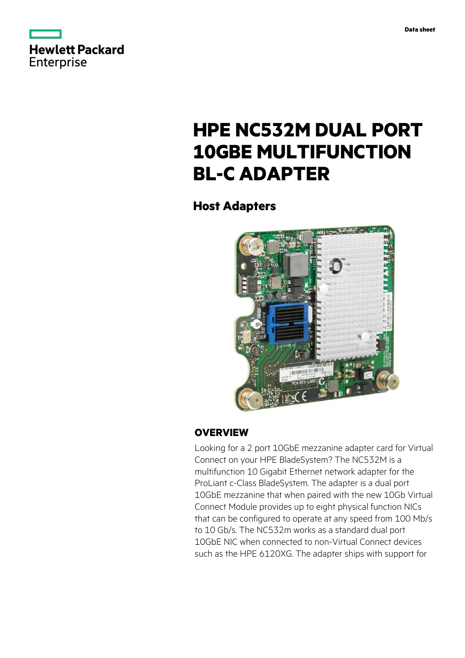



# **HPE NC532M DUAL PORT 10GBE MULTIFUNCTION BL-C ADAPTER**

**Host Adapters**



# **OVERVIEW**

Looking for a 2 port 10GbE mezzanine adapter card for Virtual Connect on your HPE BladeSystem? The NC532M is a multifunction 10 Gigabit Ethernet network adapter for the ProLiant c-Class BladeSystem. The adapter is a dual port 10GbE mezzanine that when paired with the new 10Gb Virtual Connect Module provides up to eight physical function NICs that can be configured to operate at any speed from 100 Mb/s to 10 Gb/s. The NC532m works as a standard dual port 10GbE NIC when connected to non-Virtual Connect devices such as the HPE 6120XG. The adapter ships with support for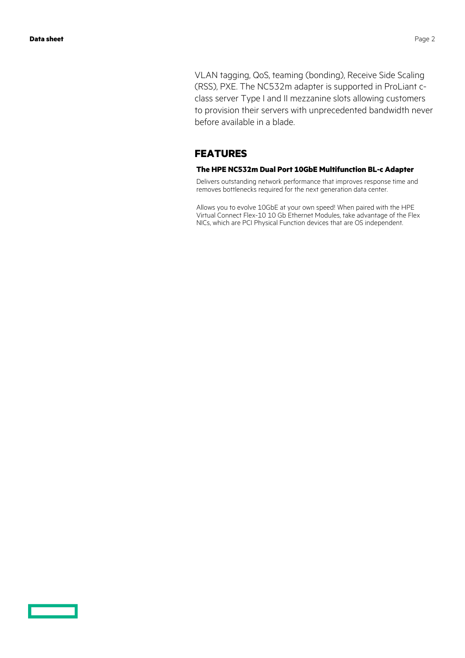VLAN tagging, QoS, teaming (bonding), Receive Side Scaling (RSS), PXE. The NC532m adapter is supported in ProLiant cclass server Type I and II mezzanine slots allowing customers to provision their servers with unprecedented bandwidth never before available in a blade.

## **FEATURES**

#### **The HPE NC532m Dual Port 10GbE Multifunction BL-c Adapter**

Delivers outstanding network performance that improves response time and removes bottlenecks required for the next generation data center.

Allows you to evolve 10GbE at your own speed! When paired with the HPE Virtual Connect Flex-10 10 Gb Ethernet Modules, take advantage of the Flex NICs, which are PCI Physical Function devices that are OS independent.